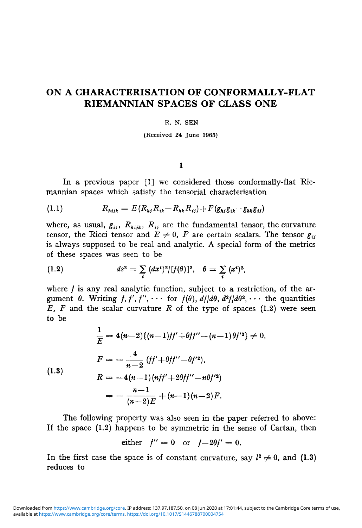# ON A CHARACTERISATION OF CONFORMALLY-FLAT RIEMANNIAN SPACES OF CLASS ONE

#### R. N. SEN

(Received 24 June 1965)

### $\mathbf{1}$

In a previous paper [1] we considered those conformally-flat Riemannian spaces which satisfy the tensorial characterisation

(1.1) 
$$
R_{hijk} = E(R_{hj}R_{ik} - R_{hk}R_{ij}) + F(g_{hj}g_{ik} - g_{hk}g_{ij})
$$

where, as usual,  $g_{ij}$ ,  $R_{hijk}$ ,  $R_{ij}$  are the fundamental tensor, the curvature tensor, the Ricci tensor and  $E \neq 0$ , *F* are certain scalars. The tensor  $g_{ij}$ is always supposed to be real and analytic. A special form of the metrics of these spaces was seen to be

(1.2) 
$$
ds^{2} = \sum_{i} (dx^{i})^{2} / [f(\theta)]^{2}, \quad \theta = \sum_{i} (x^{i})^{2},
$$

where  $f$  is any real analytic function, subject to a restriction, of the argument  $\theta$ . Writing  $f, f', f'', \cdots$  for  $f(\theta)$ ,  $df/d\theta$ ,  $d^2f/d\theta^2$ ,  $\cdots$  the quantities *E, F* and the scalar curvature *R* of the type of spaces (1.2) were seen to be

$$
\frac{1}{E} = 4(n-2)\{(n-1)/f' + \theta f f'' - (n-1)\theta f'^2\} \neq 0,
$$
  
\n
$$
F = -\frac{4}{n-2} (f' + \theta f f'' - \theta f'^2),
$$
  
\n(1.3)  
\n
$$
R = -4(n-1)(n f' + 2\theta f f'' - n\theta f'^2)
$$
  
\n
$$
= -\frac{n-1}{(n-2)E} + (n-1)(n-2)F.
$$

The following property was also seen in the paper referred to above: If the space (1.2) happens to be symmetric in the sense of Cartan, then

either 
$$
f'' = 0
$$
 or  $f-2\theta f' = 0$ .

In the first case the space is of constant curvature, say  $l^2 \neq 0$ , and (1.3) reduces to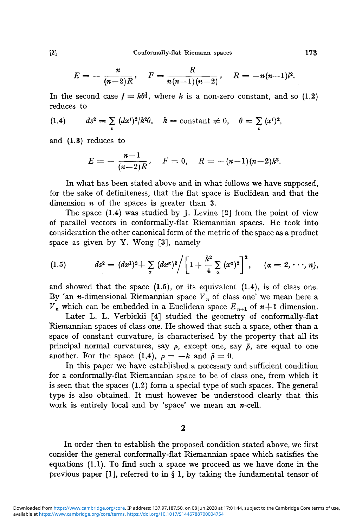$$
E=-\frac{n}{(n-2)R},\quad F=\frac{R}{n(n-1)(n-2)},\quad R=-n(n-1)l^2.
$$

In the second case  $f = k\theta^{\frac{1}{2}}$ , where *k* is a non-zero constant, and so (1.2) reduces to

(1.4) 
$$
ds^2 = \sum_i (dx^i)^2 / k^2 \theta, \quad k = \text{constant} \neq 0, \quad \theta = \sum_i (x^i)^2,
$$

and (1.3) reduces to

$$
E=-\frac{n-1}{(n-2)R},\quad F=0,\quad R=-\frac{(n-1)(n-2)}{k^2}.
$$

In what has been stated above and in what follows we have supposed, for the sake of definiteness, that the flat space is Euclidean and that the dimension *n* of the spaces is greater than 3.

The space  $(1.4)$  was studied by J. Levine  $[2]$  from the point of view of parallel vectors in conformally-flat Riemannian spaces. He took into consideration the other canonical form of the metric of the space as a product space as given by Y. Wong [3], namely

(1.5) 
$$
ds^{2} = (dx^{1})^{2} + \sum_{\alpha} (dx^{\alpha})^{2} / \left[ 1 + \frac{k^{2}}{4} \sum_{\alpha} (x^{\alpha})^{2} \right]^{2}, \quad (\alpha = 2, \dots, n),
$$

and showed that the space  $(1.5)$ , or its equivalent  $(1.4)$ , is of class one. By 'an  $n$ -dimensional Riemannian space  $V_n$  of class one' we mean here a  $V_n$  which can be embedded in a Euclidean space  $E_{n+1}$  of  $n+1$  dimension.

Later L. L. Verbickii [4] studied the geometry of conformally-flat Riemannian spaces of class one. He showed that such a space, other than a space of constant curvature, is characterised by the property that all its principal normal curvatures, say *p,* except one, say *p,* are equal to one another. For the space (1.4),  $\rho = -k$  and  $\bar{\rho} = 0$ .

In this paper we have established a necessary and sufficient condition for a conformally-flat Riemannian space to be of class one, from which it is seen that the spaces (1.2) form a special type of such spaces. The general type is also obtained. It must however be understood clearly that this work is entirely local and by 'space' we mean an  $n$ -cell.

### $\mathbf 2$

In order then to establish the proposed condition stated above, we first consider the general conformally-flat Riemannian space which satisfies the equations (1.1). To find such a space we proceed as we have done in the previous paper [1], referred to in § 1, by taking the fundamental tensor of

 $\left\lceil 2 \right\rceil$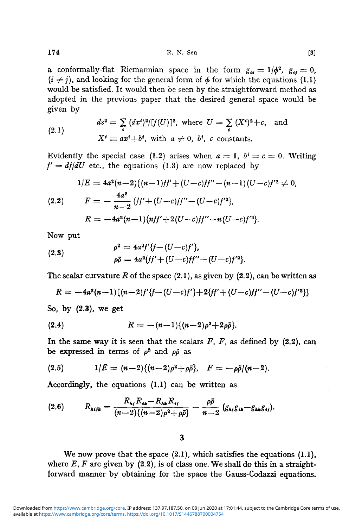**174** R. N. Sen [3]

a conformally-flat Riemannian space in the form  $g_{ii} = 1/\phi^2$ ,  $g_{ij} = 0$ ,  $(i \neq j)$ , and looking for the general form of  $\phi$  for which the equations (1.1) would be satisfied. It would then be seen by the straightforward method as adopted in the previous paper that the desired general space would be given by

(2.1) 
$$
ds^{2} = \sum_{i} (dx^{i})^{2} / [f(U)]^{2}, \text{ where } U = \sum_{i} (X^{i})^{2} + c, \text{ and}
$$

$$
X^{i} \equiv ax^{i} + b^{i}, \text{ with } a \neq 0, b^{i}, c \text{ constants.}
$$

Evidently the special case (1.2) arises when  $a = 1$ ,  $b^i = c = 0$ . Writing  $f' = df/dU$  etc., the equations (1.3) are now replaced by

$$
1/E = 4a^2(n-2)\{(n-1)/j' + (U-c)/j'' - (n-1)(U-c)/j'^2 \neq 0,
$$
  
(2.2) 
$$
F = -\frac{4a^2}{n-2} \{j' + (U-c)/j'' - (U-c)/j'^2\},
$$

$$
R = -4a^2(n-1)\{n f' + 2(U-c)/j'' - n(U-c)/j'^2\}.
$$

Now put

(2.3) 
$$
\rho^2 = 4a^2f'\{f - (U-c)f'\},
$$

$$
\rho\bar{\rho} = 4a^2\{ff' + (U-c)f'' - (U-c)f'^2\}.
$$

The scalar curvature R of the space  $(2.1)$ , as given by  $(2.2)$ , can be written as

$$
R = -4a^2(n-1)[(n-2)f'(f-(U-c)f') + 2\{f' + (U-c)f'' - (U-c)f'^2\}]
$$

So, by (2.3), we get

(2.4) 
$$
R = -(n-1)\{(n-2)\rho^2 + 2\rho\bar{\rho}\}.
$$

In the same way it is seen that the scalars *F, F,* as defined by (2.2), can be expressed in terms of  $\rho^2$  and  $\rho\bar{\rho}$  as

(2.5) 
$$
1/E = (n-2)\{(n-2)\rho^2 + \rho\bar{\rho}\}, \quad F = -\rho\bar{\rho}/(n-2).
$$

Accordingly, the equations (1.1) can be written as

$$
(2.6) \tR_{\text{A}ijk} = \frac{R_{\text{A}i}R_{ik} - R_{\text{A}k}R_{ij}}{(n-2)\{(n-2)\rho^2 + \rho\bar{\rho}\}} - \frac{\rho\bar{\rho}}{n-2}\left(g_{\text{A}i}g_{ik} - g_{\text{A}k}g_{ij}\right).
$$

## 3

We now prove that the space  $(2.1)$ , which satisfies the equations  $(1.1)$ , where  $E$ ,  $F$  are given by  $(2.2)$ , is of class one. We shall do this in a straightforward manner by obtaining for the space the Gauss-Codazzi equations.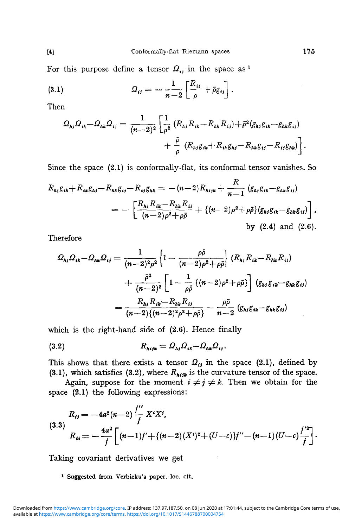For this purpose define a tensor  $\Omega_{ij}$  in the space as <sup>1</sup>

(3.1) 
$$
\Omega_{ij} = -\frac{1}{n-2} \left[ \frac{R_{ij}}{\rho} + \bar{\rho} g_{ij} \right].
$$

Then

$$
\Omega_{hj}\Omega_{ik} - \Omega_{hk}\Omega_{ij} = \frac{1}{(n-2)^2} \left[ \frac{1}{\rho^2} \left( R_{hj} R_{ik} - R_{hk} R_{ij} \right) + \bar{\rho}^2 \left( g_{hj} g_{ik} - g_{hk} g_{ij} \right) + \frac{\bar{\rho}}{\rho} \left( R_{hj} g_{ik} + R_{ik} g_{hl} - R_{hk} g_{ij} - R_{ij} g_{hk} \right) \right].
$$

Since the space (2.1) is conformally-flat, its conformal tensor vanishes. So

$$
R_{hj}g_{ik} + R_{ik}g_{hj} - R_{hk}g_{ij} - R_{ij}g_{hk} = -(n-2)R_{hijk} + \frac{R}{n-1} (g_{hj}g_{ik} - g_{hk}g_{ij})
$$
  
= 
$$
- \left[ \frac{R_{hj}R_{ik} - R_{hk}R_{ij}}{(n-2)\rho^2 + \rho\bar{\rho}} + \{(n-2)\rho^2 + \rho\bar{\rho}\} (g_{hj}g_{ik} - g_{hk}g_{ij}) \right],
$$
by (2.4) and (2.6).

Therefore

$$
\Omega_{hj} \Omega_{ik} - \Omega_{hk} \Omega_{ij} = \frac{1}{(n-2)^2 \rho^2} \left\{ 1 - \frac{\rho \bar{\rho}}{(n-2) \rho^2 + \rho \bar{\rho}} \right\} (R_{hj} R_{ik} - R_{hk} R_{ij})
$$
  
+ 
$$
\frac{\bar{\rho}^2}{(n-2)^2} \left[ 1 - \frac{1}{\rho \bar{\rho}} \left\{ (n-2) \rho^2 + \rho \bar{\rho} \right\} \right] (g_{hj} g_{ik} - g_{hk} g_{ij})
$$
  
= 
$$
\frac{R_{hj} R_{ik} - R_{hk} R_{ij}}{(n-2) \left\{ (n-2)^2 \rho^2 + \rho \bar{\rho} \right\}} - \frac{\rho \bar{\rho}}{n-2} (g_{hj} g_{ik} - g_{hk} g_{ij})
$$

which is the right-hand side of (2.6). Hence finally

$$
(3.2) \t\t R_{\lambda i j k} = \Omega_{\lambda j} \Omega_{i k} - \Omega_{\lambda k} \Omega_{i j}.
$$

This shows that there exists a tensor  $Q_{ij}$  in the space (2.1), defined by (3.1), which satisfies (3.2), where  $R_{high}$  is the curvature tensor of the space.

Again, suppose for the moment  $i \neq j \neq k$ . Then we obtain for the space (2.1) the following expressions:

$$
R_{ij} = -4a^2(n-2)\frac{f''}{f}X^iX^j,
$$
\n(3.3)  
\n
$$
R_{ii} = -\frac{4a^2}{f}\bigg[(n-1)f' + \{(n-2)(X^i)^2 + (U-c)\}'' - (n-1)(U-c)\frac{f'^2}{f}\bigg].
$$

Taking covariant derivatives we get

1  **Suggested from Verbicku's paper, loc. cit.**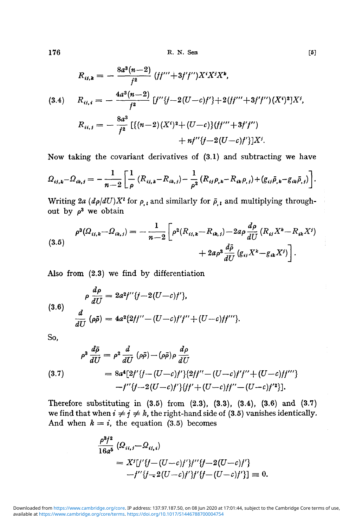available at <https://www.cambridge.org/core/terms>.<https://doi.org/10.1017/S1446788700004754> Downloaded from [https://www.cambridge.org/core.](https://www.cambridge.org/core) IP address: 137.97.187.50, on 08 Jun 2020 at 17:01:44, subject to the Cambridge Core terms of use,

$$
R_{ij,k} = -\frac{8a^3(n-2)}{f^2} (ff'' + 3f'f'')X^iX^jX^k,
$$
  
(3.4) 
$$
R_{ij,i} = -\frac{4a^3(n-2)}{f^2} [f''\{f-2(U-c)f'\}+2(ff'''+3f'f'')(X^i)^2]X^j,
$$

$$
R_{ii,j} = -\frac{8a^3}{f^2} [ \{ (n-2)(X^i)^2 + (U-c) \} (ff''' + 3f'f'') + nf''\{f-2(U-c)f'\}]X^j.
$$

Now taking the covariant derivatives of (3.1) and subtracting we have

$$
\Omega_{ij,k} - \Omega_{ik,j} = -\frac{1}{n-2} \left[ \frac{1}{\rho} \left( R_{ij,k} - R_{ik,j} \right) - \frac{1}{\rho^2} \left( R_{ij} \rho_{,k} - R_{ik} \rho_{,j} \right) + \left( g_{ij} \bar{\rho}_{,k} - g_{ik} \bar{\rho}_{,j} \right) \right].
$$

Writing 2a  $(d\rho/dU)X^i$  for  $\rho_{i,l}$  and similarly for  $\bar{\rho}_{i,l}$  and multiplying throughout by  $\rho^3$  we obtain

$$
\rho^{3}(Q_{ij,k}-Q_{ik,j})=-\frac{1}{n-2}\bigg[\rho^{2}(R_{ij,k}-R_{ik,j})-2a\rho\frac{d\rho}{dU}\left(R_{ij}X^{k}-R_{ik}X^{j}\right)\\+2a\rho^{3}\frac{d\bar{\rho}}{dU}\left(g_{ij}X^{k}-g_{ik}X^{j}\right)\bigg].
$$
\n(3.5)

Also from (2.3) we find by differentiation

(3.6)  

$$
\rho \frac{d\rho}{dU} = 2a^2 f'' \{f - 2(U - c)f'\},
$$

$$
\frac{d}{dU} (\rho \bar{\rho}) = 4a^2 \{2ff'' - (U - c)f'f'' + (U - c)ff''' \}.
$$

So,

$$
\rho^3 \frac{d\bar{\rho}}{dU} = \rho^2 \frac{d}{dU} (\rho \bar{\rho}) - (\rho \bar{\rho}) \rho \frac{d\rho}{dU}
$$
  
(3.7)  

$$
= 8a^4 [2f'\{f - (U-c)f'\} \{2ff'' - (U-c)f'f'' + (U-c)ff'''\} - f'' \{f - 2(U-c)f'\} \{f' + (U-c)f'' - (U-c)f'^2\}].
$$

Therefore substituting in  $(3.5)$  from  $(2.3)$ ,  $(3.3)$ ,  $(3.4)$ ,  $(3.6)$  and  $(3.7)$ we find that when  $i \neq j \neq k$ , the right-hand side of (3.5) vanishes identically. And when  $k = i$ , the equation (3.5) becomes

$$
\frac{\rho^{3}f^{2}}{16a^{5}} \left( \Omega_{ii,j} - \Omega_{ii,i} \right)
$$
  
=  $X^{i}[f'\{f - (U-c)f'\}f''\{f - 2(U-c)f'\} - f''\{f - 2(U-c)f'\}f''\{f - (U-c)f'\}]\equiv 0.$ 

$$
^{[5]}
$$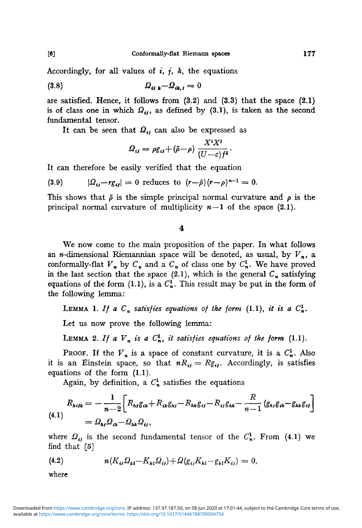Accordingly, for all values of  $i$ ,  $j$ ,  $k$ , the equations

$$
(3.8) \t\t\t Q_{ij k} - Q_{ik,j} = 0
$$

are satisfied. Hence, it follows from  $(3.2)$  and  $(3.3)$  that the space  $(2.1)$ is of class one in which  $\Omega_{ij}$ , as defined by (3.1), is taken as the second fundamental tensor.

It can be seen that  $Q_{ij}$  can also be expressed as

$$
\Omega_{ij} = \rho g_{ij} + (\bar{\rho} - \rho) \frac{X^i X^j}{(U - c) f^2}.
$$

It can therefore be easily verified that the equation

(3.9) 
$$
|\Omega_{ij} - r g_{ij}| = 0 \text{ reduces to } (r - \bar{\rho})(r - \rho)^{n-1} = 0.
$$

This shows that  $\bar{\rho}$  is the simple principal normal curvature and  $\rho$  is the principal normal curvature of multiplicity  $n-1$  of the space (2.1).

## $\overline{\mathbf{4}}$

We now come to the main proposition of the paper. In what follows an *n*-dimensional Riemannian space will be denoted, as usual, by  $V_n$ , a conformally-flat  $V_n$  by  $C_n$  and a  $C_n$  of class one by  $C_n^1$ . We have proved in the last section that the space (2.1), which is the general  $C_n$  satisfying equations of the form (1.1), is a  $C_n^1$ . This result may be put in the form of the following lemma:

LEMMA 1. If a  $C_n$  satisfies equations of the form (1.1), it is a  $C_n^1$ .

Let us now prove the following lemma:

LEMMA 2. If a  $V_n$  is a  $C_n^1$ , it satisfies equations of the form (1.1).

PROOF. If the  $V_n$  is a space of constant curvature, it is a  $C_n^1$ . Also it is an Einstein space, so that  $nR_{ij} = Rg_{ij}$ . Accordingly, is satisfies equations of the form (1.1).

Again, by definition, a  $C_n^1$  satisfies the equations

$$
R_{\text{high}} = -\frac{1}{n-2} \bigg[ R_{\text{high}} g_{ik} + R_{ik} g_{kj} - R_{nk} g_{ij} - R_{ij} g_{nk} - \frac{R}{n-1} \left( g_{kj} g_{ik} - g_{nk} g_{ij} \right) \bigg] = \Omega_{\text{high}} \Omega_{ik} - \Omega_{nk} \Omega_{ij},
$$

where  $Q_{ij}$  is the second fundamental tensor of the  $C_n^1$ . From (4.1) we find that [5]

(4.2) 
$$
n(K_{ij} \Omega_{kl} - K_{kl} \Omega_{ij}) + \Omega(g_{ij} K_{kl} - g_{kl} K_{ij}) = 0,
$$

where